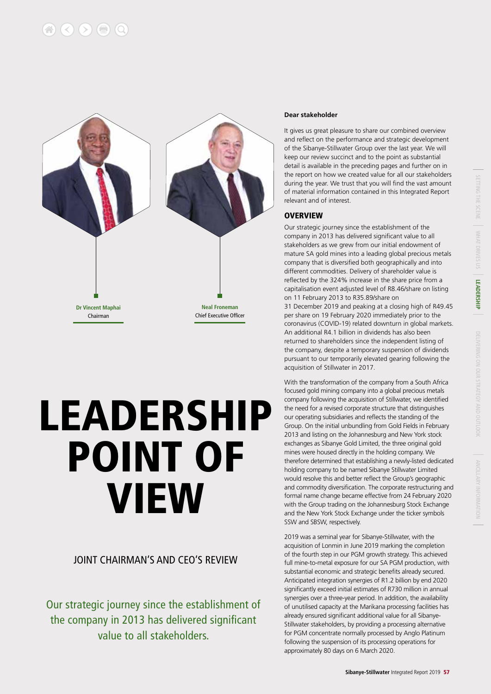

# LEADERSHIP POINT OF VIEW

#### JOINT CHAIRMAN'S AND CEO'S REVIEW

Our strategic journey since the establishment of the company in 2013 has delivered significant value to all stakeholders.

#### **Dear stakeholder**

It gives us great pleasure to share our combined overview and reflect on the performance and strategic development of the Sibanye-Stillwater Group over the last year. We will keep our review succinct and to the point as substantial detail is available in the preceding pages and further on in the report on how we created value for all our stakeholders during the year. We trust that you will find the vast amount of material information contained in this Integrated Report relevant and of interest.

#### **OVERVIEW**

Our strategic journey since the establishment of the company in 2013 has delivered significant value to all stakeholders as we grew from our initial endowment of mature SA gold mines into a leading global precious metals company that is diversified both geographically and into different commodities. Delivery of shareholder value is reflected by the 324% increase in the share price from a capitalisation event adjusted level of R8.46/share on listing on 11 February 2013 to R35.89/share on

31 December 2019 and peaking at a closing high of R49.45 per share on 19 February 2020 immediately prior to the coronavirus (COVID-19) related downturn in global markets. An additional R4.1 billion in dividends has also been returned to shareholders since the independent listing of the company, despite a temporary suspension of dividends pursuant to our temporarily elevated gearing following the acquisition of Stillwater in 2017.

With the transformation of the company from a South Africa focused gold mining company into a global precious metals company following the acquisition of Stillwater, we identified the need for a revised corporate structure that distinguishes our operating subsidiaries and reflects the standing of the Group. On the initial unbundling from Gold Fields in February 2013 and listing on the Johannesburg and New York stock exchanges as Sibanye Gold Limited, the three original gold mines were housed directly in the holding company. We therefore determined that establishing a newly-listed dedicated holding company to be named Sibanye Stillwater Limited would resolve this and better reflect the Group's geographic and commodity diversification. The corporate restructuring and formal name change became effective from 24 February 2020 with the Group trading on the Johannesburg Stock Exchange and the New York Stock Exchange under the ticker symbols SSW and SBSW, respectively.

2019 was a seminal year for Sibanye-Stillwater, with the acquisition of Lonmin in June 2019 marking the completion of the fourth step in our PGM growth strategy. This achieved full mine-to-metal exposure for our SA PGM production, with substantial economic and strategic benefits already secured. Anticipated integration synergies of R1.2 billion by end 2020 significantly exceed initial estimates of R730 million in annual synergies over a three-year period. In addition, the availability of unutilised capacity at the Marikana processing facilities has already ensured significant additional value for all Sibanye-Stillwater stakeholders, by providing a processing alternative for PGM concentrate normally processed by Anglo Platinum following the suspension of its processing operations for approximately 80 days on 6 March 2020.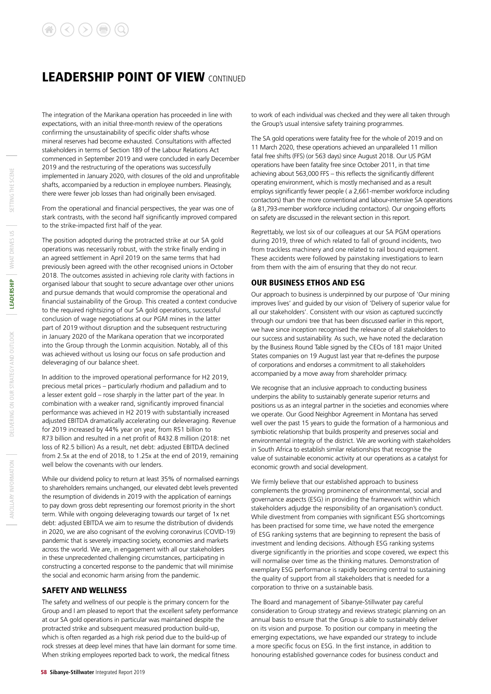### **LEADERSHIP POINT OF VIEW CONTINUED**

The integration of the Marikana operation has proceeded in line with expectations, with an initial three-month review of the operations confirming the unsustainability of specific older shafts whose mineral reserves had become exhausted. Consultations with affected stakeholders in terms of Section 189 of the Labour Relations Act commenced in September 2019 and were concluded in early December 2019 and the restructuring of the operations was successfully implemented in January 2020, with closures of the old and unprofitable shafts, accompanied by a reduction in employee numbers. Pleasingly, there were fewer job losses than had originally been envisaged.

From the operational and financial perspectives, the year was one of stark contrasts, with the second half significantly improved compared to the strike-impacted first half of the year.

The position adopted during the protracted strike at our SA gold operations was necessarily robust, with the strike finally ending in an agreed settlement in April 2019 on the same terms that had previously been agreed with the other recognised unions in October 2018. The outcomes assisted in achieving role clarity with factions in organised labour that sought to secure advantage over other unions and pursue demands that would compromise the operational and financial sustainability of the Group. This created a context conducive to the required rightsizing of our SA gold operations, successful conclusion of wage negotiations at our PGM mines in the latter part of 2019 without disruption and the subsequent restructuring in January 2020 of the Marikana operation that we incorporated into the Group through the Lonmin acquisition. Notably, all of this was achieved without us losing our focus on safe production and deleveraging of our balance sheet.

In addition to the improved operational performance for H2 2019, precious metal prices – particularly rhodium and palladium and to a lesser extent gold – rose sharply in the latter part of the year. In combination with a weaker rand, significantly improved financial performance was achieved in H2 2019 with substantially increased adjusted EBITDA dramatically accelerating our deleveraging. Revenue for 2019 increased by 44% year on year, from R51 billion to R73 billion and resulted in a net profit of R432.8 million (2018: net loss of R2.5 billion) As a result, net debt: adjusted EBITDA declined from 2.5x at the end of 2018, to 1.25x at the end of 2019, remaining well below the covenants with our lenders.

While our dividend policy to return at least 35% of normalised earnings to shareholders remains unchanged, our elevated debt levels prevented the resumption of dividends in 2019 with the application of earnings to pay down gross debt representing our foremost priority in the short term. While with ongoing deleveraging towards our target of 1x net debt: adjusted EBITDA we aim to resume the distribution of dividends in 2020, we are also cognisant of the evolving coronavirus (COVID-19) pandemic that is severely impacting society, economies and markets across the world. We are, in engagement with all our stakeholders in these unprecedented challenging circumstances, participating in constructing a concerted response to the pandemic that will minimise the social and economic harm arising from the pandemic.

#### SAFETY AND WELLNESS

The safety and wellness of our people is the primary concern for the Group and I am pleased to report that the excellent safety performance at our SA gold operations in particular was maintained despite the protracted strike and subsequent measured production build-up, which is often regarded as a high risk period due to the build-up of rock stresses at deep level mines that have lain dormant for some time. When striking employees reported back to work, the medical fitness

The SA gold operations were fatality free for the whole of 2019 and on 11 March 2020, these operations achieved an unparalleled 11 million fatal free shifts (FFS) (or 563 days) since August 2018. Our US PGM operations have been fatality free since October 2011, in that time achieving about 563,000 FFS – this reflects the significantly different operating environment, which is mostly mechanised and as a result employs significantly fewer people ( a 2,661-member workforce including contactors) than the more conventional and labour-intensive SA operations (a 81,793-member workforce including contactors). Our ongoing efforts on safety are discussed in the relevant section in this report.

Regrettably, we lost six of our colleagues at our SA PGM operations during 2019, three of which related to fall of ground incidents, two from trackless machinery and one related to rail bound equipment. These accidents were followed by painstaking investigations to learn from them with the aim of ensuring that they do not recur.

#### OUR BUSINESS ETHOS AND ESG

Our approach to business is underpinned by our purpose of 'Our mining improves lives' and guided by our vision of 'Delivery of superior value for all our stakeholders'. Consistent with our vision as captured succinctly through our umdoni tree that has been discussed earlier in this report, we have since inception recognised the relevance of all stakeholders to our success and sustainability. As such, we have noted the declaration by the Business Round Table signed by the CEOs of 181 major United States companies on 19 August last year that re-defines the purpose of corporations and endorses a commitment to all stakeholders accompanied by a move away from shareholder primacy.

We recognise that an inclusive approach to conducting business underpins the ability to sustainably generate superior returns and positions us as an integral partner in the societies and economies where we operate. Our Good Neighbor Agreement in Montana has served well over the past 15 years to guide the formation of a harmonious and symbiotic relationship that builds prosperity and preserves social and environmental integrity of the district. We are working with stakeholders in South Africa to establish similar relationships that recognise the value of sustainable economic activity at our operations as a catalyst for economic growth and social development.

We firmly believe that our established approach to business complements the growing prominence of environmental, social and governance aspects (ESG) in providing the framework within which stakeholders adjudge the responsibility of an organisation's conduct. While divestment from companies with significant ESG shortcomings has been practised for some time, we have noted the emergence of ESG ranking systems that are beginning to represent the basis of investment and lending decisions. Although ESG ranking systems diverge significantly in the priorities and scope covered, we expect this will normalise over time as the thinking matures. Demonstration of exemplary ESG performance is rapidly becoming central to sustaining the quality of support from all stakeholders that is needed for a corporation to thrive on a sustainable basis.

The Board and management of Sibanye-Stillwater pay careful consideration to Group strategy and reviews strategic planning on an annual basis to ensure that the Group is able to sustainably deliver on its vision and purpose. To position our company in meeting the emerging expectations, we have expanded our strategy to include a more specific focus on ESG. In the first instance, in addition to honouring established governance codes for business conduct and